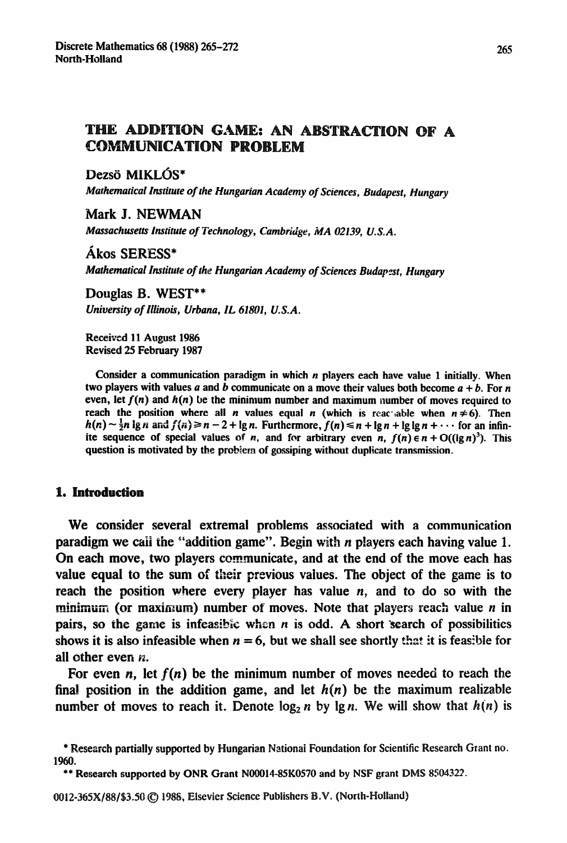## THE ADDITION GAME: AN ABSTRACTION OF A **COMMUNICATION PROBLEM**

Dezsö MIKLÓS\*

*Mathematical Institute of the Hungarian Academy* **of** *Sciences, Budapest, Hungary* 

Mark J. NEWMAN

*Massachusetts Institute of Technology, Cambridge, MA 02139, U.S.A.* 

*l&OS SERESS"* 

*Mathematical Institute of the Hungarian Academy of Sciences Budapest, Hungary* 

Douglas B. WEST\*\* *University of Illinois, Urbana, IL 61801, U.S. A.* 

Received 11 August 1986 Revised 25 February 1987

Consider a communication paradigm in which *n* players each have value 1 initially. When two players with values *a* and *b* communicate on a move their values both become  $a + b$ . For *n* even, let  $f(n)$  and  $h(n)$  be the minimum number and maximum number of moves required to reach the position where all *n* values equal *n* (which is reactuable when  $n \neq 6$ ). Then  $h(n) \sim \frac{1}{2}n$  ig *n* and  $f(n) \ge n-2$  + Ig *n*. Furthermore,  $f(n) \le n + \lg n + \lg \lg n + \cdots$  for an infinite sequence of special values of *n*, and for arbitrary even *n*,  $f(n) \in n + O((\lg n)^3)$ . This question is motivated by the problem of gossiping without duplicate transmission.

### 1. Introduction

**We consider several extremal problems associated with a communication paradigm we call the "addition game". Begin with** *n* **players each having value 1. On each move, two players communicate, and at the end of the move each has value equal to the sum of their previous values. The object of the game is to reach the position where every player has value n, and to do so with the minimum (or aximum) number of moves. Note that players reach value** *n* **in**  pairs, so the game is infeasible when  $n$  is odd. A short search of possibilities shows it is also infeasible when  $n = 6$ , but we shall see shortly that it is feasible for all other even  $n$ .

For even *n*, let  $f(n)$  be the minimum number of moves needed to reach the final position in the addition game, and let  $h(n)$  be the maximum realizable number of moves to reach it. Denote  $log_2 n$  by lg n. We will show that  $h(n)$  is

<sup>\*</sup> Research partially supported by Hungarian Nationai Foundation for Scientific Research Grant no. 1960.

<sup>\*\*</sup> Research supported by ONR Grant N00014-85K0570 and by NSF grant DMS 8504322.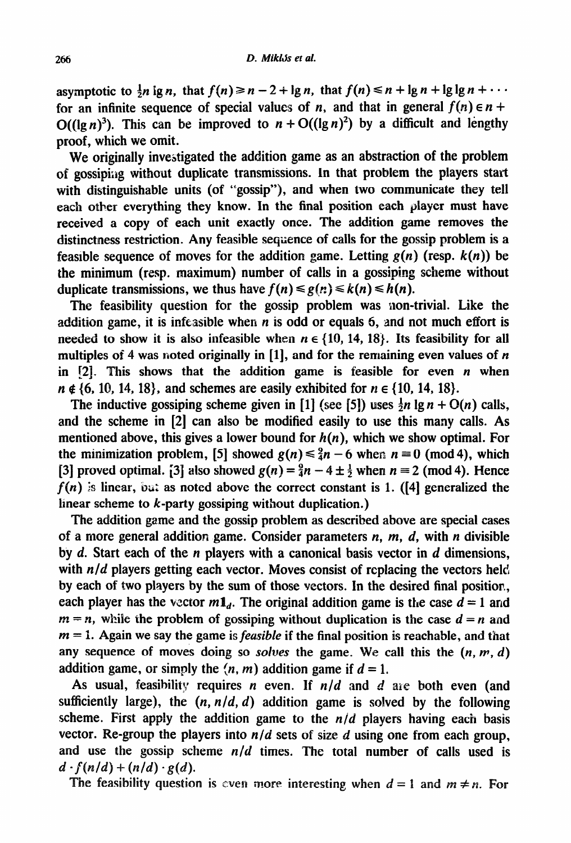asymptotic to  $\frac{1}{2}n \lg n$ , that  $f(n) \ge n - 2 + \lg n$ , that  $f(n) \le n + \lg n + \lg \lg n + \cdots$ for an infinite sequence of special values of *n*, and that in general  $f(n) \in n + 1$  $O((\lg n)^3)$ . This can be improved to  $n + O((\lg n)^2)$  by a difficult and lengthy proof, which we omit.

We *originally* investigated the addition game as an abstraction of the problem of gossiping without duplicate transmissions. In that problem the players start with distinguishable units (of "gossip"), and when two communicate they tell each other everything they know. In the final position each player must have *received* a copy of each unit exactly once. The addition game removes the distinctness restriction. Any feasible sequence of calls for the gossip problem is a feasible sequence of moves for the addition game. Letting  $g(n)$  (resp.  $k(n)$ ) be the minimum (resp. maximum) number of calls in a gossiping scheme without duplicate transmissions, we thus have  $f(n) \leq g(n) \leq k(n) \leq h(n)$ .

The feasibility question for the gossip problem was non-trivial. Like the addition game, it is infeasible when  $n$  is odd or equals 6, and not much effort is needed to show it is also infeasible when  $n \in \{10, 14, 18\}$ . Its feasibility for all multiples of 4 was noted originally in [1], and for the remaining even values of *n* in  $[2]$ . This shows that the addition game is feasible for even *n* when  $n \notin \{6, 10, 14, 18\}$ , and schemes are easily exhibited for  $n \in \{10, 14, 18\}$ .

The inductive gossiping scheme given in [1] (see [5]) uses  $\frac{1}{2}n \lg n + O(n)$  calls, and the scheme in [2] can also be modified easily to use this many calls. As mentioned above, this gives a lower bound for  $h(n)$ , which we show optimal. For the minimization problem, [5] showed  $g(n) \leq \frac{9}{4}n - 6$  when  $n \equiv 0 \pmod{4}$ , which [3] proved optimal. [3] also showed  $g(n) = \frac{9}{4}n - 4 \pm \frac{1}{2}$  when  $n \equiv 2 \pmod{4}$ . Hence  $f(n)$  is linear, but as noted above the correct constant is 1. ([4] generalized the linear scheme to  $k$ -party gossiping without duplication.)

The addition game and the gossip problem as described above are special cases of a more general addition game. Consider parameters *n, m, d,* with *n* divisible by d. Start each of the *n* players with a canonical basis vector in d dimensions, with  $n/d$  players getting each vector. Moves consist of replacing the vectors held by each of two players by the sum of those vectors. In the desired final position, each player has the vector  $m_1$ . The original addition game is the case  $d = 1$  and  $m = n$ , while the problem of gossiping without duplication is the case  $d = n$  and *m = I.* Again we say the game is *feasible* if the final position is reachable, and that any sequence of moves doing so *solves* the game. We call this the  $(n, m, d)$ addition game, or simply the  $(n, m)$  addition game if  $d = 1$ .

AS usual, feasibility requires *n* even. If *n/d* and *d ane* both even (and sufficiently large), the  $(n, n/d, d)$  addition game is solved by the following scheme. First apply the addition game to the  $n/d$  players having each basis vector. Re-group the players into  $n/d$  sets of size  $d$  using one from each group, and use the gossip scheme  $n/d$  times. The total number of calls used is  $d \cdot f(n/d) + (n/d) \cdot g(d)$ .

The feasibility question is even more interesting when  $d = 1$  and  $m \neq n$ . For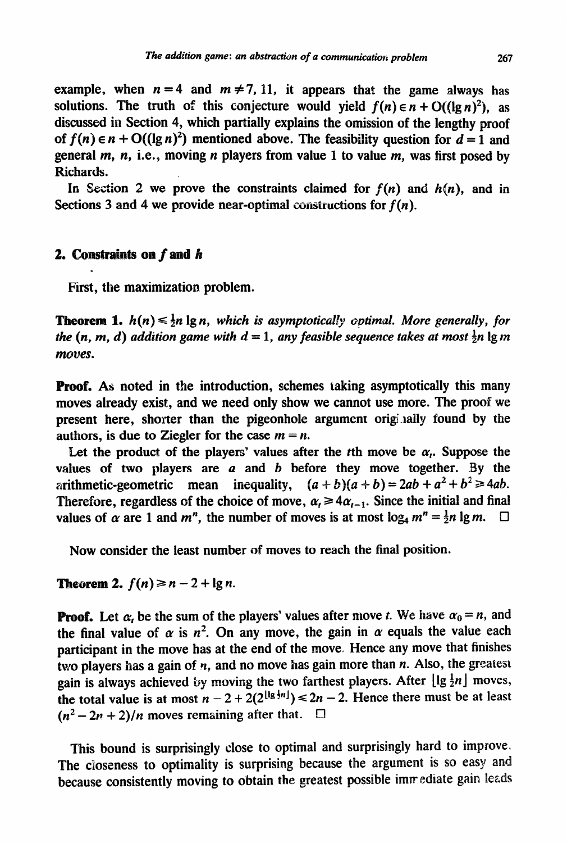example, when  $n = 4$  and  $m \neq 7, 11$ , it appears that the game always has solutions. The truth of this conjecture would yield  $f(n) \in n + O((\lg n)^2)$ , as discussed in Section 4, which partially explains the omission of the **lengthy proof**  of  $f(n) \in n + O((\lg n)^2)$  mentioned above. The feasibility question for  $d = 1$  and general  $m$ ,  $n$ , i.e., moving  $n$  players from value 1 to value  $m$ , was first posed by Richards.

In Section 2 we prove the constraints claimed for  $f(n)$  and  $h(n)$ , and in Sections 3 and 4 we provide near-optimal constructions for *f(n).* 

## **2. Constraints on** *I*

First, the maximization problem.

*moves.*  **Theorem 1.**  $h(n) \leq \frac{1}{2}n \lg n$ , which is asymptotically optimal. More generally, for *the*  $(n, m, d)$  addition game with  $d = 1$ , any feasible sequence takes at most  $\frac{1}{2}n \lg m$ 

**Proof.** As noted in the introduction, schemes taking asymptotically this many moves already exist, and we need only show we cannot use more. The proof we present here, shorter than the pigeonhole argument originally found by the authors, is due to Ziegler for the case  $m = n$ .

Let the product of the players' values after the *t*th move be  $\alpha_i$ . Suppose the values of two players are  $a$  and  $b$  before they move together. By the arithmetic-geometric mean inequality,  $(a + b)(a + b) = 2ab + a^2 + b^2$ Therefore, regardless of the choice of move,  $\alpha_t \ge 4\alpha_{t-1}$ . Since the initial and final values of  $\alpha$  are 1 and  $m^n$ , the number of moves is at most  $\log_4 m^n = \frac{1}{2}n \lg m$ .  $\Box$ 

*Now* consider the least number of moves to reach the final position.

**Theorem 2.**  $f(n) \ge n-2+\lg n$ .

**Proof.** Let  $\alpha_i$  be the sum of the players' values after move *t*. We have  $\alpha_0 = n$ , and the final value of  $\alpha$  is  $n^2$ . On any move, the gain in  $\alpha$  equals the value each **participant in the move has at the end of the move. Hence any move that finishes** two players has a gain of  $n$ , and no move has gain more than  $n$ . Also, the greatest gain is always achieved by moving the two farthest players. After  $\lfloor \lg \frac{1}{2}n \rfloor$  moves, the total value is at most  $n - 2 + 2(2^{\lfloor \lg \frac{1}{2}n \rfloor}) \le 2n - 2$ . Hence there must be at least  $(n^2-2n+2)/n$  moves remaining after that.  $\square$ 

This bound is surprisingly close to optimal and surprisingly hard to improve. The closeness to optimality is surprising because the argument is so easy and because consistently moving to obtain the greatest possible immediate gain leads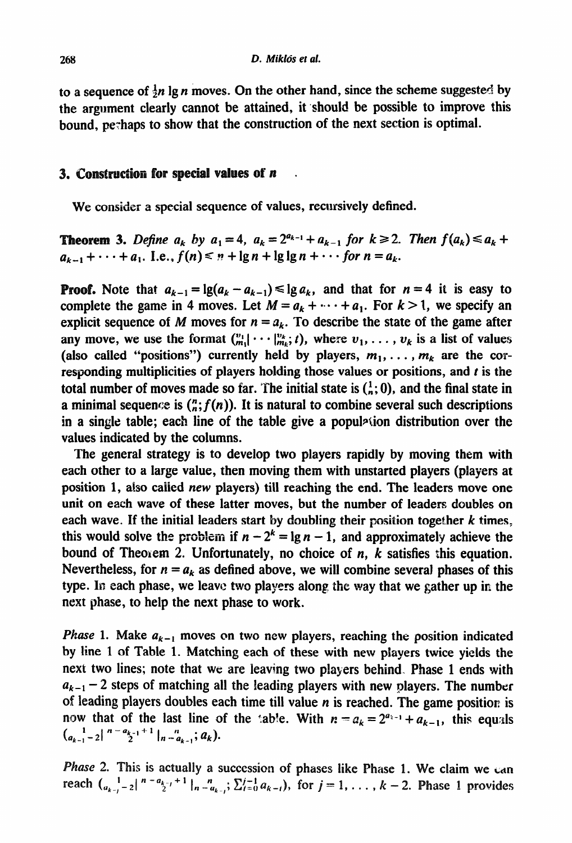to a sequence of  $\frac{1}{2}n \lg n$  moves. On the other hand, since the scheme suggested by the argument clearly cannot be attained, it should be possible to improve this bound, perhaps to show that the construction of the next section is optimal.

#### 3. Construction for special values of  $n$

We consider a special sequence of values, recursively defined.

**Theorem 3.** Define  $a_k$  by  $a_1 = 4$ ,  $a_k = 2^{a_{k-1}} + a_{k-1}$  for  $k \ge 2$ . Then  $f(a_k) \le a_k + 1$  $a_{k-1}+\cdots+a_1$ . I.e.,  $f(n) \leq n+\lg n+\lg \lg n+\cdots$  for  $n=a_k$ .

**Proof.** Note that  $a_{k-1} = \lg(a_k - a_{k-1}) \le \lg a_k$ , and that for  $n = 4$  it is easy to complete the game in 4 moves. Let  $M = a_k + \cdots + a_1$ . For  $k > 1$ , we specify an explicit sequence of M moves for  $n = a_k$ . To describe the state of the game after any move, we use the format  $\binom{v_1}{m_1} \cdots \binom{v_k}{m_k}$ ; t), where  $v_1, \ldots, v_k$  is a list of values (also called "positions") currently held by players,  $m_1, \ldots, m_k$  are the corresponding multiplicities of players holding those values or positions, and  $t$  is the total number of moves made so far. The initial state is  $\binom{1}{n}$ , and the final state in a minimal sequence is  $\binom{n}{n} f(n)$ . It is natural to combine several such descriptions in a single table; each line of the table give a popul<sup> $\alpha$ </sup>ion distribution over the values indicated by the columns.

The general strategy is to develop two players rapidly by moving them with each other to a large value, then moving them with unstarted players (players at position 1, also called new players) till reaching the end. The leaders move one unit on each wave of these latter moves, but the number of leaders doubles on each wave.. If the initial leaders start by doubling their **position together** *k* **times,**  this would solve the problem if  $n - 2^k = \lg n - 1$ , and approximately achieve the bound of Theorem 2. Unfortunately, no choice of n, *k* satisfies this equation. Nevertheless, for  $n = a_k$  as defined above, we will combine several phases of this type. In each phase, we leave two players along the way that we gather up in the next phase, to help the next phase to work.

*Phase* 1. Make  $a_{k-1}$  moves on two new players, reaching the position indicated by line 1 of Table 1. Matching each of these with new players twice yields the next two lines; note that we are leaving two players behind. Phase 1 ends with  $a_{k-1}$  – 2 steps of matching all the leading players with new players. The number of leading players doubles each time till value  $n$  is reached. The game position is now that of the last line of the :ab!e. With  $n = a_k = 2^{a_{k-1}} + a_{k-1}$ , this equals  $\binom{1}{a_{k-1}-2}$   $n-a_{k-1}+1$   $\binom{n}{n-a_{k-1}}$ ;  $a_k$ ).

Phase 2. This is actually a succession of phases like Phase 1. We claim we can reach  $\binom{1}{a_{k-1}-2}$   $\binom{n-a_{k-1}+1}{2}$   $\binom{n}{n-a_{k-1}}$ ;  $\sum_{i=0}^{j-1} a_{k-i}$ , for  $j=1,\ldots,k-2$ . Phase 1 provides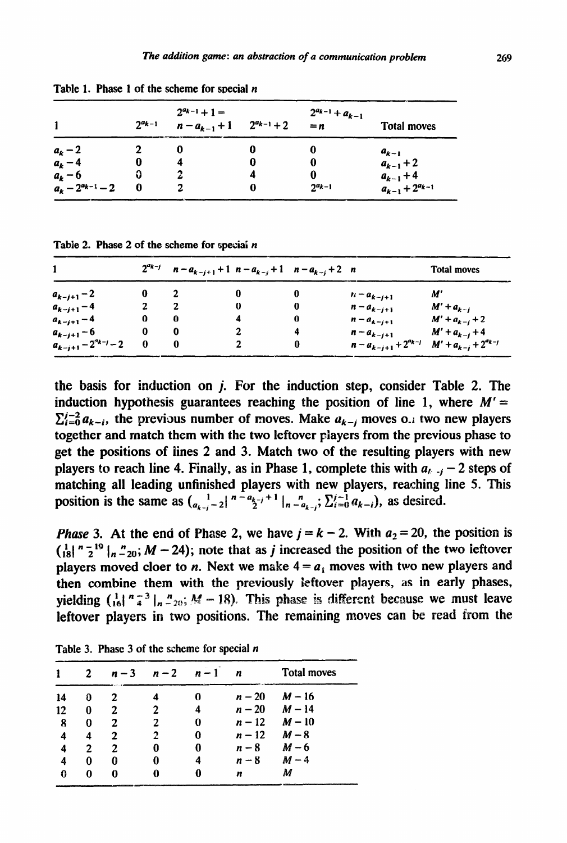|                         | $2^{a_{k-1}}$ | $2^{a_{k-1}}+1=$<br>$n - a_{k-1} + 1$ $2^{a_{k-1}} + 2$ |   | $2^{a_{k-1}}+a_{k-1}$<br>$= n$ | <b>Total moves</b>                              |
|-------------------------|---------------|---------------------------------------------------------|---|--------------------------------|-------------------------------------------------|
| $a_k-2$                 |               | O                                                       | 0 |                                | $a_{k-1}$                                       |
| $a_k - 4$               |               |                                                         | o | 0                              | $a_{k-1}+2$                                     |
| $a_k - 6$               | 0             |                                                         | 4 | 0                              |                                                 |
| $a_k - 2^{a_{k-1}} - 2$ | 0             |                                                         | o | $2^{a_{k-1}}$                  | $a_{k-1}$ + 4<br>$a_{k-1}$ + 2 <sup>a</sup> k-1 |

**Table 1. Phase 1 of the scheme for special** *n* 

Table 2. Phase 2 of the scheme for special *n* 

|                               |   | $2^{a_{k-j}}$ $n-a_{k-j+1}+1$ $n-a_{k-j}+1$ $n-a_{k-j}+2$ n |   |   |                                                            | <b>Total moves</b> |
|-------------------------------|---|-------------------------------------------------------------|---|---|------------------------------------------------------------|--------------------|
| $a_{k-j+1}-2$                 | o |                                                             |   | 0 | $n - a_{k-j+1}$                                            | M'                 |
| $a_{k-j+1} - 4$               |   |                                                             | 0 | 0 | $n - a_{k-i+1}$                                            | $M' + a_{k-j}$     |
| $a_{k-j+1} - 4$               | 0 | 0                                                           |   | 0 | $n - a_{k-i+1}$                                            | $M' + a_{k-j} + 2$ |
| $a_{k-j+1} - 6$               | 0 |                                                             |   | 4 | $n - a_{k-j+1}$                                            | $M' + a_{k-j} + 4$ |
| $a_{k-j+1} - 2^{a_{k-j}} - 2$ |   |                                                             |   | 0 | $n - a_{k-j+1} + 2^{a_{k-j}}$ $M' + a_{k-j} + 2^{a_{k-j}}$ |                    |

the basis for induction on  $j$ . For the induction step, consider Table 2. The induction hypothesis guarantees reaching the position of line 1, where  $M' =$  $\sum_{i=0}^{j-2} a_{k-i}$ , the previous number of moves. Make  $a_{k-j}$  moves 0.1 two new players together and match them with the two leftover piayers from the previous phase to get the positions of lines 2 and 3. Match two of the resulting players with new players to reach line 4. Finally, as in Phase 1, complete this with  $a_{k-1} - 2$  steps of matching all leading unfinished players with new players, reaching line 5. This **position** is the same as  $\left(a_{k-j}-2\right)^{n-a_{k-j}+1}$   $\left|n\right|_{n-a_{k-j}}^{n}$ ;  $\sum_{i=0}^{j-1} a_{k-i}$ , as desired.

*Phase* 3. At the end of Phase 2, we have  $j = k - 2$ . With  $a_2 = 20$ , the position is  $\int_{18}^{1} \int_{18}^{1} \int_{18}^{1} \int_{18}^{1} dx$  increased the position of the two leftover players moved cloer to *n*. Next we make  $4 = a_1$  moves with two new players and then combine them with the previously ieftover players, as in early phases, yielding  $\left(\frac{1}{16}\right)^n \frac{1}{4}$   $\frac{n}{20}$ ;  $M - 18$ ). This phase is different because we must leave leftover players in two positions. The remaining moves can be read from the

|    |   | $n-3$ | $n-2$ | $n-1$ | n        | <b>Total moves</b> |
|----|---|-------|-------|-------|----------|--------------------|
| 14 | 0 | 2     |       |       | $n - 20$ | $M - 16$           |
| 12 | 0 | 2     |       | 4     |          | $n - 20$ $M - 14$  |
| 8  | 0 | 2     |       | 0     | $n-12$   | $M-10$             |
| 4  | 4 | 2     | 2     | 0     | $n-12$   | $M - 8$            |
| 4  | 2 | 2     | 0     | 0     | $n-8$    | $M - 6$            |
| 4  | 0 | 0     | 0     |       | $n-8$    | $M-4$              |
| 0  | 0 | 0     |       |       | n        | M                  |

**Table 3. Phase 3 of the scheme for special** *n*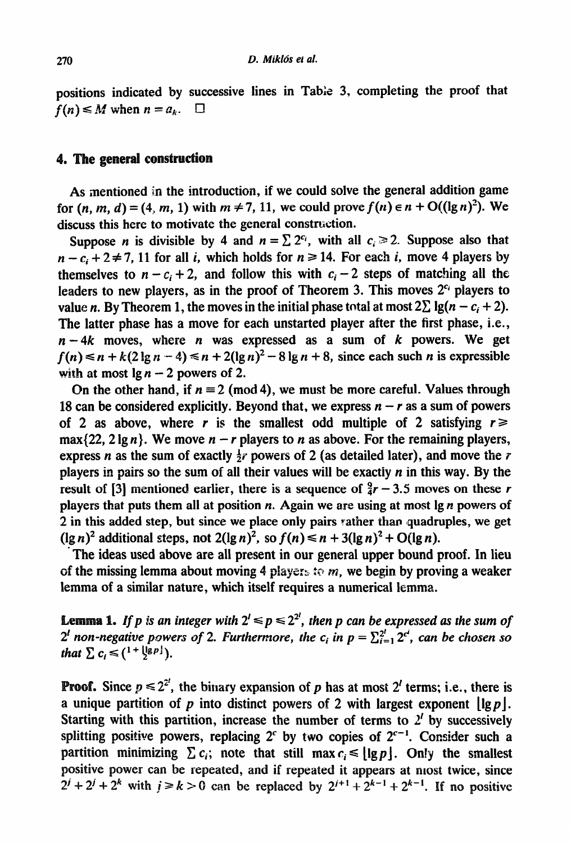positions indicated by successive lines in Table 3, completing the proof that  $f(n) \leq M$  when  $n = a_k$ .  $\Box$ 

# 4. The general construction

As mentioned in the introduction, if we could solve the general addition game for  $(n, m, d) = (4, m, 1)$  with  $m \neq 7, 11$ , we could prove  $f(n) \in n + O((\lg n)^2)$ . We discuss this here to motivate the general construction.

Suppose *n* is divisible by 4 and  $n = \sum 2^{c_i}$ , with all  $c_i \ge 2$ . Suppose also that  $n - c_i + 2 \ne 7$ , 11 for all *i*, which holds for  $n \ge 14$ . For each *i*, move 4 players by themselves to  $n - c_i + 2$ , and follow this with  $c_i - 2$  steps of matching all the leaders to new players, as in the proof of Theorem 3. This moves  $2^{c_i}$  players to value *n*. By Theorem 1, the moves in the initial phase total at most  $2\sum \lg(n - c_i + 2)$ . The latter phase has a move for each unstarted player after the first phase, i.e.,  $n - 4k$  moves, where *n* was expressed as a sum of *k* powers. We get  $f(n) \le n + k(2\lg n - 4) \le n + 2(\lg n)^2 - 8\lg n + 8$ , since each such *n* is expressible with at most  $\lg n - 2$  powers of 2.

On the other hand, if  $n \equiv 2 \pmod{4}$ , we must be more careful. Values through 18 can be considered explicitly. Beyond that, we express  $n - r$  as a sum of powers of 2 as above, where *r* is the smallest odd multiple of 2 satisfying  $r \ge$  $max{22, 2 \lg n}$ . We move  $n - r$  players to *n* as above. For the remaining players, express *n* as the sum of exactly  $\frac{1}{2}r$  powers of 2 (as detailed later), and move the *r* players in pairs so the sum of all their values will be exactly *n* in this way. By the result of [3] mentioned earlier, there is a sequence of  $\frac{9}{4}r - 3.5$  moves on these r players that puts them all at position *n.* Again we are using at most lg *n* powers of 2 in this added step, but since we place only pairs rather than quadruples, we get  $(\lg n)^2$  additional steps, not  $2(\lg n)^2$ , so  $f(n) \le n + 3(\lg n)^2 + O(\lg n)$ .

The ideas used above are all present in our general upper bound proof. In lieu of the missing lemma about moving 4 players to m, we begin by proving a weaker lemma of a similar nature, which itself requires a numerical lemma.

**Lemma 1.** If p is an integer with  $2^l \leq p \leq 2^{2^l}$ , then p can be expressed as the sum of  $2<sup>l</sup>$  non-negative powers of 2. Furthermore, the c<sub>i</sub> in  $p = \sum_{i=1}^{2^l} 2^{c^i}$ , can be chosen so *that*  $\sum c_i \leq (1 + |\lg p|)$ .

**Proof.** Since  $p \le 2^{2}$ , the binary expansion of p has at most 2' terms; i.e., there is a unique partition of p into distinct powers of 2 with largest exponent  $\left| \lg p \right|$ . Starting with this partition, increase the number of terms to  $2<sup>t</sup>$  by successively splitting positive powers, replacing 2<sup>c</sup> by two copies of  $2^{c-1}$ . Consider such a partition minimizing  $\sum c_i$ ; note that still max  $c_i \leq |\lg p|$ . Only the smallest positive power can be repeated, and if repeated it appears at most twice, since  $2^{j} + 2^{k} + 2^{k}$  with  $j \ge k > 0$  can be replaced by  $2^{j+1} + 2^{k-1} + 2^{k-1}$ . If no positive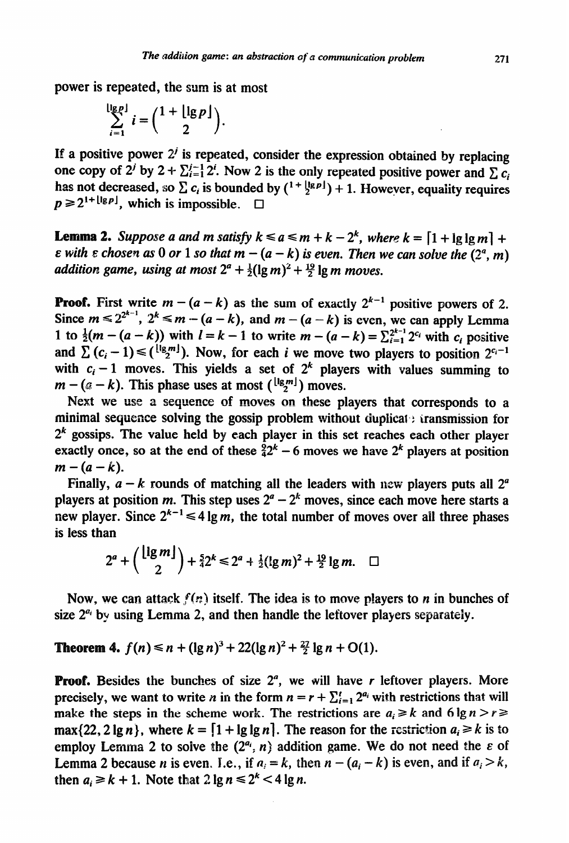power is repeated, the sum is at most

$$
\sum_{i=1}^{\lfloor \lg p \rfloor} i = {\binom{1+\lfloor \lg p \rfloor}{2}}.
$$

If a positive power  $2^{j}$  is repeated, consider the expression obtained by replacing one copy of  $2^{j}$  by  $2 + \sum_{i=1}^{j-1} 2^{i}$ . Now 2 is the only repeated positive power and  $\sum c_i$ has not decreased, so  $\sum c_i$  is bounded by  $({}^{1+\frac{1}{2}g\rho})+1$ . However, equality requires  $p \ge 2^{1+ \lfloor \lg p \rfloor}$ , which is impossible.  $\Box$ 

**Lemma 2.** Suppose a and m satisfy  $k \le a \le m + k - 2^k$ , where  $k = \lfloor 1 + \lg \lg m \rfloor + 1$  $\varepsilon$  with  $\varepsilon$  chosen as 0 or 1 so that  $m - (a - k)$  is even. Then we can solve the  $(2^a, m)$ *addition game, using at most*  $2^a + \frac{1}{2}(\lg m)^2 + \frac{19}{2}\lg m$  moves.

**roof.** First write  $m - (a - k)$  as the sum of exactly  $2^{k-1}$  positive powers of 2. Since  $m \le 2^{2^{k-1}}$ ,  $2^k \le m - (a - k)$ , and  $m - (a - k)$  is even, we can apply Lemma 1 to  $\frac{1}{2}(m - (a - k))$  with  $l = k - 1$  to write  $m - (a - k) = \sum_{i=1}^{2^{k-1}} 2^{c_i}$  with  $c_i$  positive and  $\sum (c_i - 1) \leq (\frac{\lfloor \lg m \rfloor}{2})$ . Now, for each *i* we move two players to position  $2^{c_i-1}$ with  $c_i - 1$  moves. This yields a set of  $2^k$  players with values summing to  $m - (a - k)$ . This phase uses at most ( $\binom{\lfloor \log m \rfloor}{2}$ ) moves.

Next we use a sequence of moves on these players that corresponds to a minimal sequence solving the gossip problem without duplicat  $:$  transmission for  $2<sup>k</sup>$  gossips. The value held by each player in this set reaches each other player exactly once, so at the end of these  $\frac{5}{4}2^k - 6$  moves we have  $2^k$  players at position  $m - (a - k)$ .

Finally,  $a - k$  rounds of matching all the leaders with new players puts all  $2<sup>a</sup>$ players at position *m*. This step uses  $2^a - 2^k$  moves, since each move here starts a new player. Since  $2^{k-1} \le 4 \lg m$ , the total number of moves over all three phases is less than

$$
2^{a} + \binom{\lfloor \lg m \rfloor}{2} + \frac{5}{4} 2^{k} \leq 2^{a} + \frac{1}{2} (\lg m)^{2} + \frac{19}{2} \lg m. \quad \Box
$$

Now, we can attack  $f(n)$  itself. The idea is to move players to n in bunches of size  $2^{a_i}$  by using Lemma 2, and then handle the leftover players separately.

**Theorem 4.**  $f(n) \le n + (\lg n)^3 + 22(\lg n)^2 + \frac{27}{2} \lg n + O(1)$ .

**Proof.** Besides the bunches of size  $2<sup>a</sup>$ , we will have r leftover players. More precisely, we want to write *n* in the form  $n = r + \sum_{i=1}^{r} 2^{a_i}$  with restrictions that will make the steps in the scheme work. The restrictions are  $a_i \ge k$  and  $6 \lg n > r \ge 1$  $\max\{22, 2 \lg n\}$ , where  $k = \lfloor 1 + \lg \lg n \rfloor$ . The reason for the restriction  $a_i \ge k$  is to employ Lemma 2 to solve the  $(2^{a_i}, n)$  addition game. We do not need the  $\varepsilon$  of Lemma 2 because *n* is even. I.e., if  $a_i = k$ , then  $n - (a_i - k)$  is even, and if  $a_i > k$ , then  $a_i \ge k + 1$ . Note that  $2 \lg n \le 2^k < 4 \lg n$ .